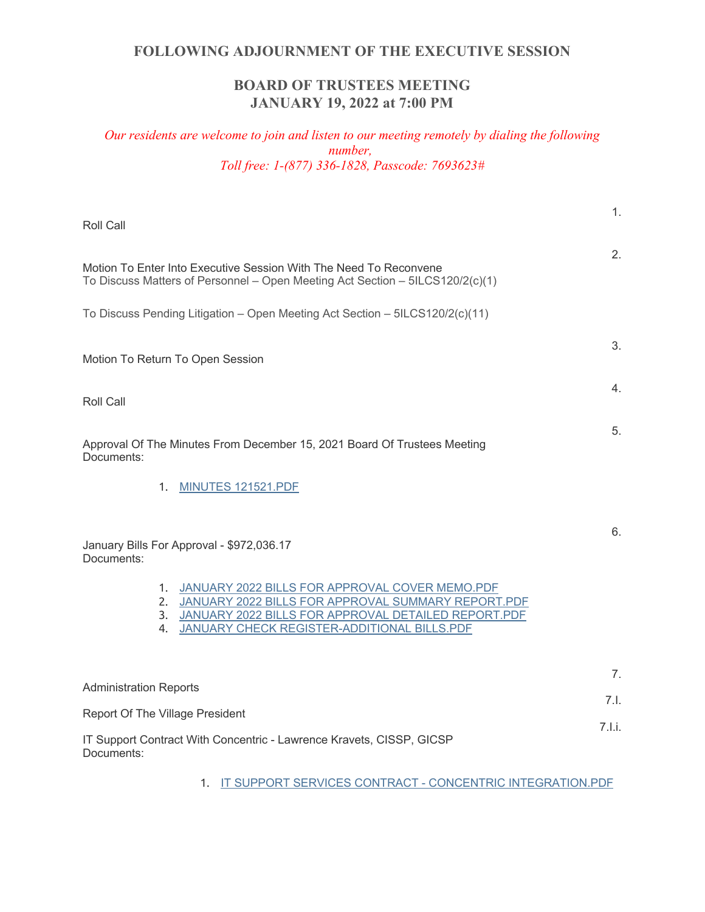# **BOARD OF TRUSTEES MEETING JANUARY 19, 2022 at 7:00 PM**

# *Our residents are welcome to join and listen to our meeting remotely by dialing the following number, Toll free: 1-(877) 336-1828, Passcode: 7693623#*

| Roll Call                                                                                                                                                                                                              | 1.     |
|------------------------------------------------------------------------------------------------------------------------------------------------------------------------------------------------------------------------|--------|
| Motion To Enter Into Executive Session With The Need To Reconvene<br>To Discuss Matters of Personnel - Open Meeting Act Section - 5ILCS120/2(c)(1)                                                                     | 2.     |
| To Discuss Pending Litigation - Open Meeting Act Section - 5ILCS120/2(c)(11)                                                                                                                                           |        |
| Motion To Return To Open Session                                                                                                                                                                                       | 3.     |
| <b>Roll Call</b>                                                                                                                                                                                                       | 4.     |
| Approval Of The Minutes From December 15, 2021 Board Of Trustees Meeting<br>Documents:                                                                                                                                 | 5.     |
| MINUTES 121521.PDF<br>1.                                                                                                                                                                                               |        |
| January Bills For Approval - \$972,036.17<br>Documents:                                                                                                                                                                | 6.     |
| 1. JANUARY 2022 BILLS FOR APPROVAL COVER MEMO.PDF<br>2. JANUARY 2022 BILLS FOR APPROVAL SUMMARY REPORT.PDF<br>3. JANUARY 2022 BILLS FOR APPROVAL DETAILED REPORT.PDF<br>4. JANUARY CHECK REGISTER-ADDITIONAL BILLS.PDF |        |
| <b>Administration Reports</b>                                                                                                                                                                                          | 7.     |
| <b>Report Of The Village President</b>                                                                                                                                                                                 | 7.1.   |
| IT Support Contract With Concentric - Lawrence Kravets, CISSP, GICSP<br>Documents:                                                                                                                                     | 7.l.i. |
| 1. IT SUPPORT SERVICES CONTRACT - CONCENTRIC INTEGRATION.PDF                                                                                                                                                           |        |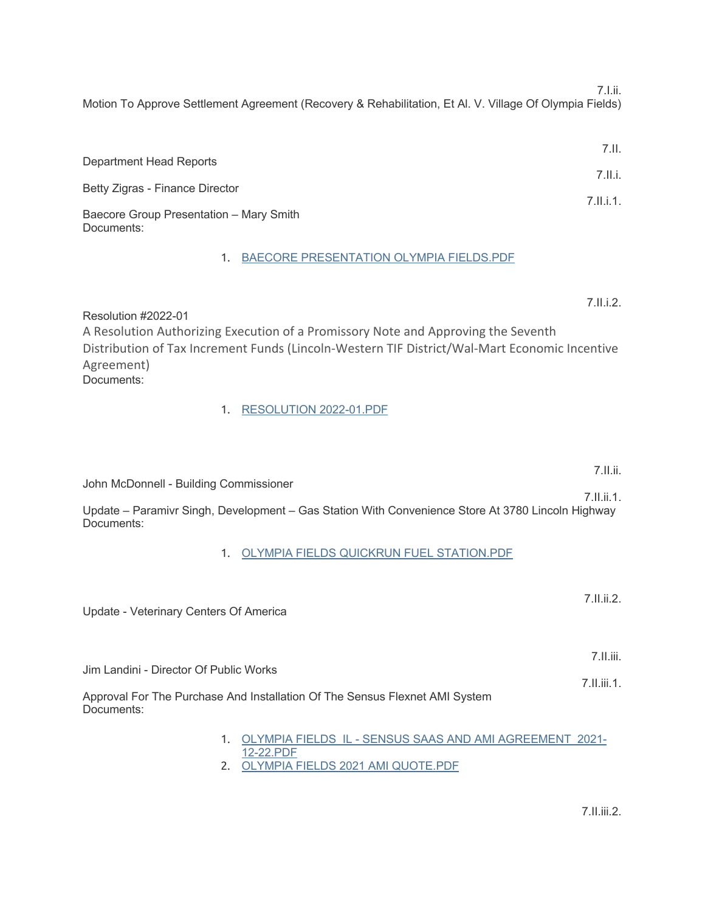7.I.ii.

7.II.i.2.

7.II.ii.

7.II.ii.1.

Motion To Approve Settlement Agreement (Recovery & Rehabilitation, Et Al. V. Village Of Olympia Fields)

|                                                       | 7.11.     |
|-------------------------------------------------------|-----------|
| Department Head Reports                               |           |
|                                                       | 7.II.i.   |
| Betty Zigras - Finance Director                       | 7.11.1.1. |
| Baecore Group Presentation - Mary Smith<br>Documents: |           |

## 1. BAECORE PRESENTATION OLYMPIA FIELDS.PDF

Resolution #2022-01 A Resolution Authorizing Execution of a Promissory Note and Approving the Seventh Distribution of Tax Increment Funds (Lincoln-Western TIF District/Wal-Mart Economic Incentive Agreement) Documents:

### 1. RESOLUTION 2022-01.PDF

John McDonnell - Building Commissioner

Update – Paramivr Singh, Development – Gas Station With Convenience Store At 3780 Lincoln Highway Documents:

### 1. OLYMPIA FIELDS QUICKRUN FUEL STATION.PDF

| Update - Veterinary Centers Of America                                                    | 7.11.ii.2.                  |
|-------------------------------------------------------------------------------------------|-----------------------------|
| Jim Landini - Director Of Public Works                                                    | $7.$ II.iii.<br>7.11.iii.1. |
| Approval For The Purchase And Installation Of The Sensus Flexnet AMI System<br>Documents: |                             |
| OLYMPIA FIELDS IL - SENSUS SAAS AND AMI AGREEMENT 2021-<br>12-22.PDF                      |                             |

2. OLYMPIA FIELDS 2021 AMI QUOTE.PDF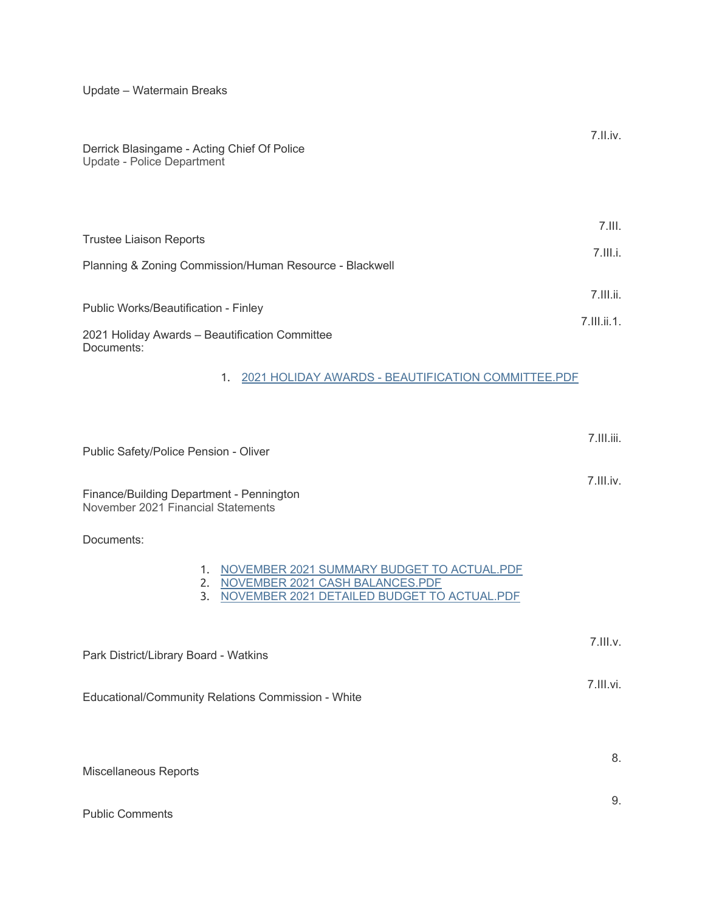Update – Watermain Breaks

| Derrick Blasingame - Acting Chief Of Police<br>Update - Police Department              | $7.$ II.iv.                    |
|----------------------------------------------------------------------------------------|--------------------------------|
| Trustee Liaison Reports                                                                | $7.$ III.                      |
| Planning & Zoning Commission/Human Resource - Blackwell                                | $7.$ III.i.                    |
| Public Works/Beautification - Finley<br>2021 Holiday Awards - Beautification Committee | $7.$ III.ii.<br>$7.$ III.ii.1. |
| Documents:<br>2021 HOLIDAY AWARDS - BEAUTIFICATION COMMITTEE.PDF<br>1.                 |                                |

Public Safety/Police Pension - Oliver

Finance/Building Department - Pennington November 2021 Financial Statements

Documents:

|--|

7.III.iii.

7.III.iv.

9.

- 2. NOVEMBER 2021 CASH BALANCES.PDF
- 3. NOVEMBER 2021 DETAILED BUDGET TO ACTUAL.PDF

| Park District/Library Board - Watkins              | $7.$ III.v. |
|----------------------------------------------------|-------------|
| Educational/Community Relations Commission - White | 7.III.vi.   |
| Miscellaneous Reports                              | 8.          |